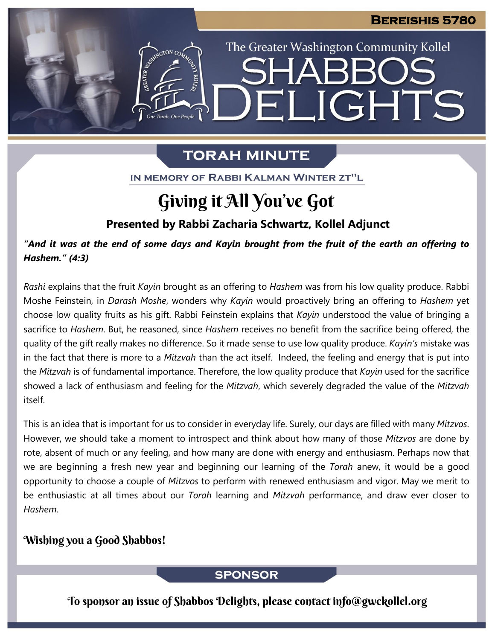The Greater Washington Community Kollel

ELIGHTS

# **TORAH MINUTE**

IN MEMORY OF RABBI KALMAN WINTER ZT"L

# Giving it All You've Got

**Presented by Rabbi Zacharia Schwartz, Kollel Adjunct**

"And it was at the end of some days and Kayin brought from the fruit of the earth an offering to *Hashem." (4:3)*

*Rashi* explains that the fruit *Kayin* brought as an offering to *Hashem* was from his low quality produce. Rabbi Moshe Feinstein, in *Darash Moshe*, wonders why *Kayin* would proactively bring an offering to *Hashem* yet choose low quality fruits as his gift. Rabbi Feinstein explains that *Kayin* understood the value of bringing a sacrifice to *Hashem*. But, he reasoned, since *Hashem* receives no benefit from the sacrifice being offered, the quality of the gift really makes no difference. So it made sense to use low quality produce. *Kayin's* mistake was in the fact that there is more to a *Mitzvah* than the act itself. Indeed, the feeling and energy that is put into the *Mitzvah* is of fundamental importance. Therefore, the low quality produce that *Kayin* used for the sacrifice showed a lack of enthusiasm and feeling for the *Mitzvah*, which severely degraded the value of the *Mitzvah* itself.

This is an idea that is important for us to consider in everyday life. Surely, our days are filled with many *Mitzvos*. However, we should take a moment to introspect and think about how many of those *Mitzvos* are done by rote, absent of much or any feeling, and how many are done with energy and enthusiasm. Perhaps now that we are beginning a fresh new year and beginning our learning of the *Torah* anew, it would be a good opportunity to choose a couple of *Mitzvos* to perform with renewed enthusiasm and vigor. May we merit to be enthusiastic at all times about our *Torah* learning and *Mitzvah* performance, and draw ever closer to *Hashem*.

## Wishing you a Good Shabbos!

### **SPONSOR**

To sponsor an issue of Shabbos Delights, please contact info@gwckollel.org